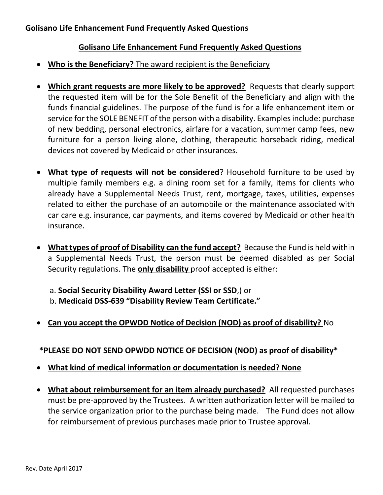#### **Golisano Life Enhancement Fund Frequently Asked Questions**

- **Who is the Beneficiary?** The award recipient is the Beneficiary
- **Which grant requests are more likely to be approved?** Requests that clearly support the requested item will be for the Sole Benefit of the Beneficiary and align with the funds financial guidelines. The purpose of the fund is for a life enhancement item or service for the SOLE BENEFIT of the person with a disability. Examples include: purchase of new bedding, personal electronics, airfare for a vacation, summer camp fees, new furniture for a person living alone, clothing, therapeutic horseback riding, medical devices not covered by Medicaid or other insurances.
- **What type of requests will not be considered**? Household furniture to be used by multiple family members e.g. a dining room set for a family, items for clients who already have a Supplemental Needs Trust, rent, mortgage, taxes, utilities, expenses related to either the purchase of an automobile or the maintenance associated with car care e.g. insurance, car payments, and items covered by Medicaid or other health insurance.
- **What types of proof of Disability can the fund accept?** Because the Fund is held within a Supplemental Needs Trust, the person must be deemed disabled as per Social Security regulations. The **only disability** proof accepted is either:

a. **Social Security Disability Award Letter (SSI or SSD**,) or b. **Medicaid DSS-639 "Disability Review Team Certificate."**

• **Can you accept the OPWDD Notice of Decision (NOD) as proof of disability?** No

 **\*PLEASE DO NOT SEND OPWDD NOTICE OF DECISION (NOD) as proof of disability\***

- **What kind of medical information or documentation is needed? None**
- **What about reimbursement for an item already purchased?** All requested purchases must be pre-approved by the Trustees. A written authorization letter will be mailed to the service organization prior to the purchase being made. The Fund does not allow for reimbursement of previous purchases made prior to Trustee approval.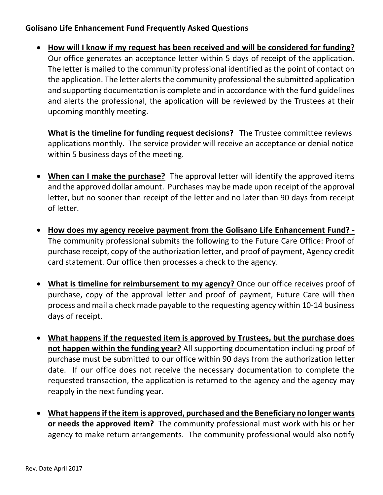• **How will I know if my request has been received and will be considered for funding?** Our office generates an acceptance letter within 5 days of receipt of the application. The letter is mailed to the community professional identified as the point of contact on the application. The letter alerts the community professional the submitted application and supporting documentation is complete and in accordance with the fund guidelines and alerts the professional, the application will be reviewed by the Trustees at their upcoming monthly meeting.

**What is the timeline for funding request decisions?** The Trustee committee reviews applications monthly. The service provider will receive an acceptance or denial notice within 5 business days of the meeting.

- **When can I make the purchase?** The approval letter will identify the approved items and the approved dollar amount. Purchases may be made upon receipt of the approval letter, but no sooner than receipt of the letter and no later than 90 days from receipt of letter.
- **How does my agency receive payment from the Golisano Life Enhancement Fund? -** The community professional submits the following to the Future Care Office: Proof of purchase receipt, copy of the authorization letter, and proof of payment, Agency credit card statement. Our office then processes a check to the agency.
- **What is timeline for reimbursement to my agency?** Once our office receives proof of purchase, copy of the approval letter and proof of payment, Future Care will then process and mail a check made payable to the requesting agency within 10-14 business days of receipt.
- **What happens if the requested item is approved by Trustees, but the purchase does not happen within the funding year?** All supporting documentation including proof of purchase must be submitted to our office within 90 days from the authorization letter date. If our office does not receive the necessary documentation to complete the requested transaction, the application is returned to the agency and the agency may reapply in the next funding year.
- **What happens if the item is approved, purchased and the Beneficiary no longer wants or needs the approved item?** The community professional must work with his or her agency to make return arrangements. The community professional would also notify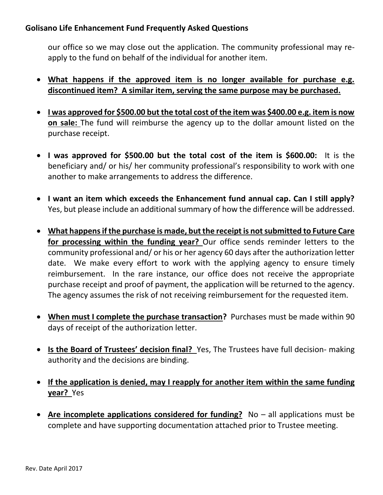our office so we may close out the application. The community professional may reapply to the fund on behalf of the individual for another item.

- **What happens if the approved item is no longer available for purchase e.g. discontinued item? A similar item, serving the same purpose may be purchased.**
- **I was approved for \$500.00 but the total cost of the item was \$400.00 e.g. item is now on sale:** The fund will reimburse the agency up to the dollar amount listed on the purchase receipt.
- **I was approved for \$500.00 but the total cost of the item is \$600.00:** It is the beneficiary and/ or his/ her community professional's responsibility to work with one another to make arrangements to address the difference.
- **I want an item which exceeds the Enhancement fund annual cap. Can I still apply?** Yes, but please include an additional summary of how the difference will be addressed.
- **What happens if the purchase is made, but the receipt is not submitted to Future Care for processing within the funding year?** Our office sends reminder letters to the community professional and/ or his or her agency 60 days after the authorization letter date. We make every effort to work with the applying agency to ensure timely reimbursement. In the rare instance, our office does not receive the appropriate purchase receipt and proof of payment, the application will be returned to the agency. The agency assumes the risk of not receiving reimbursement for the requested item.
- **When must I complete the purchase transaction?** Purchases must be made within 90 days of receipt of the authorization letter.
- **Is the Board of Trustees' decision final?** Yes, The Trustees have full decision- making authority and the decisions are binding.
- **If the application is denied, may I reapply for another item within the same funding year?** Yes
- **Are incomplete applications considered for funding?** No all applications must be complete and have supporting documentation attached prior to Trustee meeting.